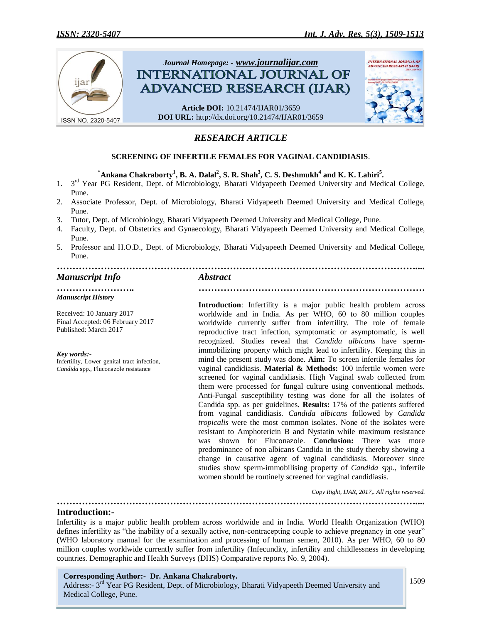

# *RESEARCH ARTICLE*

## **SCREENING OF INFERTILE FEMALES FOR VAGINAL CANDIDIASIS**.

 $^*$ Ankana Chakraborty<sup>1</sup>, B. A. Dalal<sup>2</sup>, S. R. Shah<sup>3</sup>, C. S. Deshmukh<sup>4</sup> and K. K. Lahiri<sup>5</sup>.

- 1. 3<sup>rd</sup> Year PG Resident, Dept. of Microbiology, Bharati Vidyapeeth Deemed University and Medical College, Pune.
- 2. Associate Professor, Dept. of Microbiology, Bharati Vidyapeeth Deemed University and Medical College, Pune.
- 3. Tutor, Dept. of Microbiology, Bharati Vidyapeeth Deemed University and Medical College, Pune.
- 4. Faculty, Dept. of Obstetrics and Gynaecology, Bharati Vidyapeeth Deemed University and Medical College, Pune.
- 5. Professor and H.O.D., Dept. of Microbiology, Bharati Vidyapeeth Deemed University and Medical College, Pune.

#### *…………………………………………………………………………………………………….... Manuscript Info Abstract*

### *Manuscript History*

Received: 10 January 2017 Final Accepted: 06 February 2017 Published: March 2017

#### *Key words:-*

Infertility, Lower genital tract infection, *Candida* spp., Fluconazole resistance

*……………………. ………………………………………………………………*

**Introduction**: Infertility is a major public health problem across worldwide and in India. As per WHO, 60 to 80 million couples worldwide currently suffer from infertility. The role of female reproductive tract infection, symptomatic or asymptomatic, is well recognized. Studies reveal that *Candida albicans* have spermimmobilizing property which might lead to infertility. Keeping this in mind the present study was done. **Aim:** To screen infertile females for vaginal candidiasis. **Material & Methods:** 100 infertile women were screened for vaginal candidiasis. High Vaginal swab collected from them were processed for fungal culture using conventional methods. Anti-Fungal susceptibility testing was done for all the isolates of Candida spp. as per guidelines. **Results:** 17% of the patients suffered from vaginal candidiasis. *Candida albicans* followed by *Candida tropicalis* were the most common isolates. None of the isolates were resistant to Amphotericin B and Nystatin while maximum resistance was shown for Fluconazole. **Conclusion:** There was more predominance of non albicans Candida in the study thereby showing a change in causative agent of vaginal candidiasis. Moreover since studies show sperm-immobilising property of *Candida spp.,* infertile women should be routinely screened for vaginal candidiasis.

 *Copy Right, IJAR, 2017,. All rights reserved.*

*……………………………………………………………………………………………………....*

## **Introduction:-**

Infertility is a major public health problem across worldwide and in India. World Health Organization (WHO) defines infertility as "the inability of a sexually active, non-contracepting couple to achieve pregnancy in one year" (WHO laboratory manual for the examination and processing of human semen, 2010). As per WHO, 60 to 80 million couples worldwide currently suffer from infertility (Infecundity, infertility and childlessness in developing countries. Demographic and Health Surveys (DHS) Comparative reports No. 9, 2004).

## **Corresponding Author:- Dr. Ankana Chakraborty.**

Address:- 3<sup>rd</sup> Year PG Resident, Dept. of Microbiology, Bharati Vidyapeeth Deemed University and Medical College, Pune.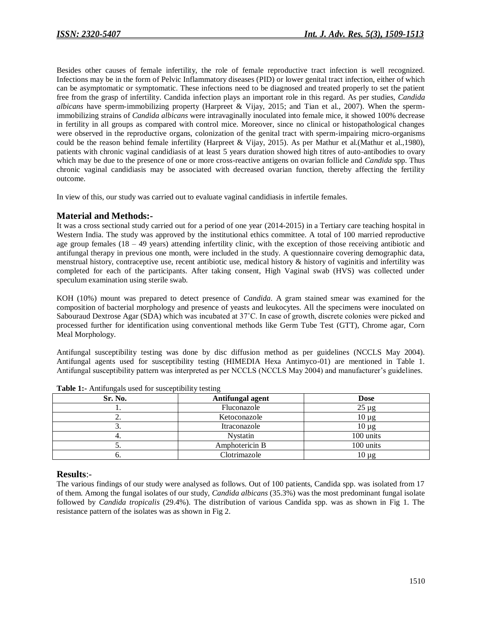Besides other causes of female infertility, the role of female reproductive tract infection is well recognized. Infections may be in the form of Pelvic Inflammatory diseases (PID) or lower genital tract infection, either of which can be asymptomatic or symptomatic. These infections need to be diagnosed and treated properly to set the patient free from the grasp of infertility. Candida infection plays an important role in this regard. As per studies, *Candida albicans* have sperm-immobilizing property (Harpreet & Vijay, 2015; and Tian et al., 2007). When the spermimmobilizing strains of *Candida albicans* were intravaginally inoculated into female mice, it showed 100% decrease in fertility in all groups as compared with control mice. Moreover, since no clinical or histopathological changes were observed in the reproductive organs, colonization of the genital tract with sperm-impairing micro-organisms could be the reason behind female infertility (Harpreet & Vijay, 2015). As per Mathur et al.(Mathur et al.,1980), patients with chronic vaginal candidiasis of at least 5 years duration showed high titres of auto-antibodies to ovary which may be due to the presence of one or more cross-reactive antigens on ovarian follicle and *Candida* spp. Thus chronic vaginal candidiasis may be associated with decreased ovarian function, thereby affecting the fertility outcome.

In view of this, our study was carried out to evaluate vaginal candidiasis in infertile females.

## **Material and Methods:-**

It was a cross sectional study carried out for a period of one year (2014-2015) in a Tertiary care teaching hospital in Western India. The study was approved by the institutional ethics committee. A total of 100 married reproductive age group females  $(18 - 49$  years) attending infertility clinic, with the exception of those receiving antibiotic and antifungal therapy in previous one month, were included in the study. A questionnaire covering demographic data, menstrual history, contraceptive use, recent antibiotic use, medical history & history of vaginitis and infertility was completed for each of the participants. After taking consent, High Vaginal swab (HVS) was collected under speculum examination using sterile swab.

KOH (10%) mount was prepared to detect presence of *Candida*. A gram stained smear was examined for the composition of bacterial morphology and presence of yeasts and leukocytes. All the specimens were inoculated on Sabouraud Dextrose Agar (SDA) which was incubated at 37˚C. In case of growth, discrete colonies were picked and processed further for identification using conventional methods like Germ Tube Test (GTT), Chrome agar, Corn Meal Morphology.

Antifungal susceptibility testing was done by disc diffusion method as per guidelines (NCCLS May 2004). Antifungal agents used for susceptibility testing (HIMEDIA Hexa Antimyco-01) are mentioned in Table 1. Antifungal susceptibility pattern was interpreted as per NCCLS (NCCLS May 2004) and manufacturer's guidelines.

| Sr. No.  | Antifungal agent | <b>Dose</b> |  |  |
|----------|------------------|-------------|--|--|
|          | Fluconazole      | $25 \mu g$  |  |  |
| <u>.</u> | Ketoconazole     | $10 \mu g$  |  |  |
|          | Itraconazole     | $10 \mu g$  |  |  |
|          | Nystatin         | 100 units   |  |  |
| J.       | Amphotericin B   | 100 units   |  |  |
|          | Clotrimazole     | $10 \mu g$  |  |  |

**Table 1:-** Antifungals used for susceptibility testing

## **Results**:-

The various findings of our study were analysed as follows. Out of 100 patients, Candida spp. was isolated from 17 of them. Among the fungal isolates of our study, *Candida albicans* (35.3%) was the most predominant fungal isolate followed by *Candida tropicalis* (29.4%). The distribution of various Candida spp. was as shown in Fig 1. The resistance pattern of the isolates was as shown in Fig 2.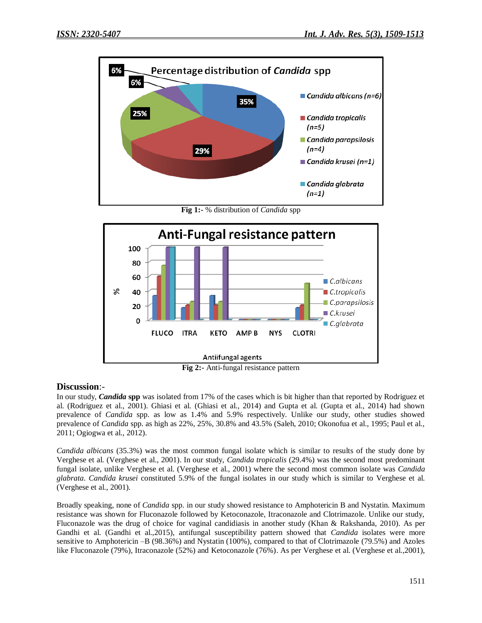

**Fig 1:-** % distribution of *Candida* spp



**Fig 2:-** Anti-fungal resistance pattern

## **Discussion**:-

In our study, *Candida* **spp** was isolated from 17% of the cases which is bit higher than that reported by Rodriguez et al. (Rodriguez et al., 2001). Ghiasi et al. (Ghiasi et al., 2014) and Gupta et al. (Gupta et al., 2014) had shown prevalence of *Candida* spp. as low as 1.4% and 5.9% respectively. Unlike our study, other studies showed prevalence of *Candida* spp. as high as 22%, 25%, 30.8% and 43.5% (Saleh, 2010; Okonofua et al., 1995; Paul et al., 2011; Ogiogwa et al., 2012).

*Candida albicans* (35.3%) was the most common fungal isolate which is similar to results of the study done by Verghese et al. (Verghese et al., 2001). In our study, *Candida tropicalis* (29.4%) was the second most predominant fungal isolate, unlike Verghese et al. (Verghese et al., 2001) where the second most common isolate was *Candida glabrata*. *Candida krusei* constituted 5.9% of the fungal isolates in our study which is similar to Verghese et al. (Verghese et al., 2001).

Broadly speaking, none of *Candida* spp. in our study showed resistance to Amphotericin B and Nystatin. Maximum resistance was shown for Fluconazole followed by Ketoconazole, Itraconazole and Clotrimazole. Unlike our study, Fluconazole was the drug of choice for vaginal candidiasis in another study (Khan & Rakshanda, 2010). As per Gandhi et al. (Gandhi et al.,2015), antifungal susceptibility pattern showed that *Candida* isolates were more sensitive to Amphotericin –B (98.36%) and Nystatin (100%), compared to that of Clotrimazole (79.5%) and Azoles like Fluconazole (79%), Itraconazole (52%) and Ketoconazole (76%). As per Verghese et al. (Verghese et al.,2001),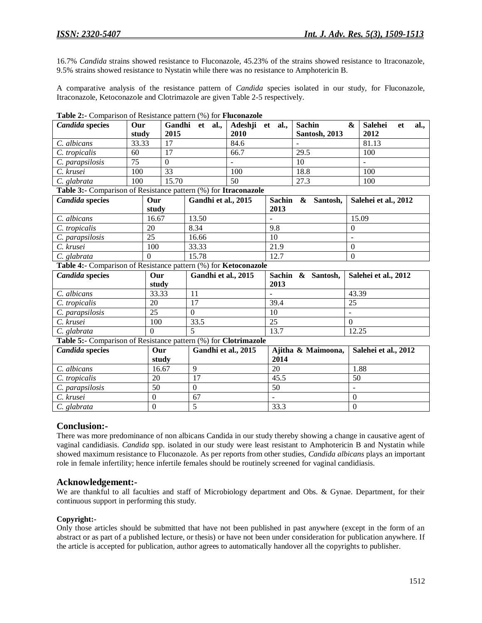16.7% *Candida* strains showed resistance to Fluconazole, 45.23% of the strains showed resistance to Itraconazole, 9.5% strains showed resistance to Nystatin while there was no resistance to Amphotericin B.

A comparative analysis of the resistance pattern of *Candida* species isolated in our study, for Fluconazole, Itraconazole, Ketoconazole and Clotrimazole are given Table 2-5 respectively.

| <b>Candida</b> species                                          | Our<br>study  | Gandhi<br>2015             | al.,<br>et     | Adeshji<br>2010    | et al.,                     | <b>Sachin</b><br><b>Santosh</b> , 2013 | <b>Salehei</b><br>al.,<br>&<br>et<br>2012 |  |
|-----------------------------------------------------------------|---------------|----------------------------|----------------|--------------------|-----------------------------|----------------------------------------|-------------------------------------------|--|
| C. albicans                                                     | 33.33         | 17                         |                | 84.6               |                             |                                        | 81.13                                     |  |
| C. tropicalis                                                   | 60            | 17                         |                | 66.7               |                             | 29.5                                   | 100                                       |  |
| C. parapsilosis                                                 | 75            | $\Omega$                   |                |                    |                             | 10                                     |                                           |  |
| C. krusei                                                       | 100           | 33                         |                | 100                |                             | 18.8                                   | 100                                       |  |
| C. glabrata                                                     | 100           | 15.70                      |                | 50                 |                             | 27.3                                   | 100                                       |  |
| Table 3:- Comparison of Resistance pattern (%) for Itraconazole |               |                            |                |                    |                             |                                        |                                           |  |
| <b>Candida</b> species                                          | Our           | Gandhi et al., 2015        |                | <b>Sachin</b>      |                             | &<br>Santosh,                          | Salehei et al., 2012                      |  |
|                                                                 | study         |                            |                |                    | 2013                        |                                        |                                           |  |
| C. albicans                                                     | 16.67         |                            | 13.50          |                    |                             |                                        | 15.09                                     |  |
| C. tropicalis                                                   | 20            |                            | 8.34           |                    | 9.8                         |                                        | $\overline{0}$                            |  |
| C. parapsilosis                                                 | 25            |                            | 16.66          |                    | 10                          |                                        |                                           |  |
| C. krusei                                                       | 100           |                            | 33.33          |                    | 21.9                        |                                        | $\Omega$                                  |  |
| C. glabrata                                                     | $\Omega$      |                            | 15.78          |                    | 12.7                        |                                        | $\mathbf{0}$                              |  |
| Table 4:- Comparison of Resistance pattern (%) for Ketoconazole |               |                            |                |                    |                             |                                        |                                           |  |
| <b>Candida</b> species                                          | Our           | Gandhi et al., 2015        |                |                    | <b>Sachin</b><br>& Santosh, |                                        | Salehei et al., 2012                      |  |
|                                                                 | study         |                            |                |                    | 2013                        |                                        |                                           |  |
| C. albicans                                                     | 33.33         |                            | 11             |                    |                             |                                        | 43.39                                     |  |
| C. tropicalis                                                   | 20            |                            | 17             |                    | 39.4                        |                                        | 25                                        |  |
| 25<br>C. parapsilosis                                           |               |                            | $\theta$       |                    | 10                          |                                        |                                           |  |
| C. krusei<br>100                                                |               |                            | 33.5           |                    | 25                          |                                        | $\Omega$                                  |  |
| C. glabrata                                                     | $\mathbf{0}$  |                            | $\overline{5}$ |                    | 13.7                        |                                        | 12.25                                     |  |
| Table 5:- Comparison of Resistance pattern (%) for Clotrimazole |               |                            |                |                    |                             |                                        |                                           |  |
| <b>Candida</b> species                                          |               | Our<br>Gandhi et al., 2015 |                | Ajitha & Maimoona, |                             | Salehei et al., 2012                   |                                           |  |
|                                                                 |               | study                      |                |                    | 2014                        |                                        |                                           |  |
| C. albicans                                                     |               | 16.67                      | 9              |                    | 20                          |                                        | 1.88                                      |  |
| C. tropicalis                                                   | 20            |                            | 17             |                    | 45.5                        |                                        | 50                                        |  |
| C. parapsilosis                                                 | 50            |                            | $\mathbf{0}$   |                    | 50                          |                                        | $\blacksquare$                            |  |
| C. krusei                                                       |               | $\boldsymbol{0}$<br>67     |                |                    |                             |                                        | $\boldsymbol{0}$                          |  |
| C. glabrata                                                     | 5<br>$\Omega$ |                            |                |                    | 33.3                        |                                        | $\mathbf{0}$                              |  |

**Table 2:-** Comparison of Resistance pattern (%) for **Fluconazole**

## **Conclusion:-**

There was more predominance of non albicans Candida in our study thereby showing a change in causative agent of vaginal candidiasis. *Candida* spp. isolated in our study were least resistant to Amphotericin B and Nystatin while showed maximum resistance to Fluconazole. As per reports from other studies, *Candida albicans* plays an important role in female infertility; hence infertile females should be routinely screened for vaginal candidiasis.

## **Acknowledgement:-**

We are thankful to all faculties and staff of Microbiology department and Obs. & Gynae. Department, for their continuous support in performing this study.

## **Copyright:-**

Only those articles should be submitted that have not been published in past anywhere (except in the form of an abstract or as part of a published lecture, or thesis) or have not been under consideration for publication anywhere. If the article is accepted for publication, author agrees to automatically handover all the copyrights to publisher.